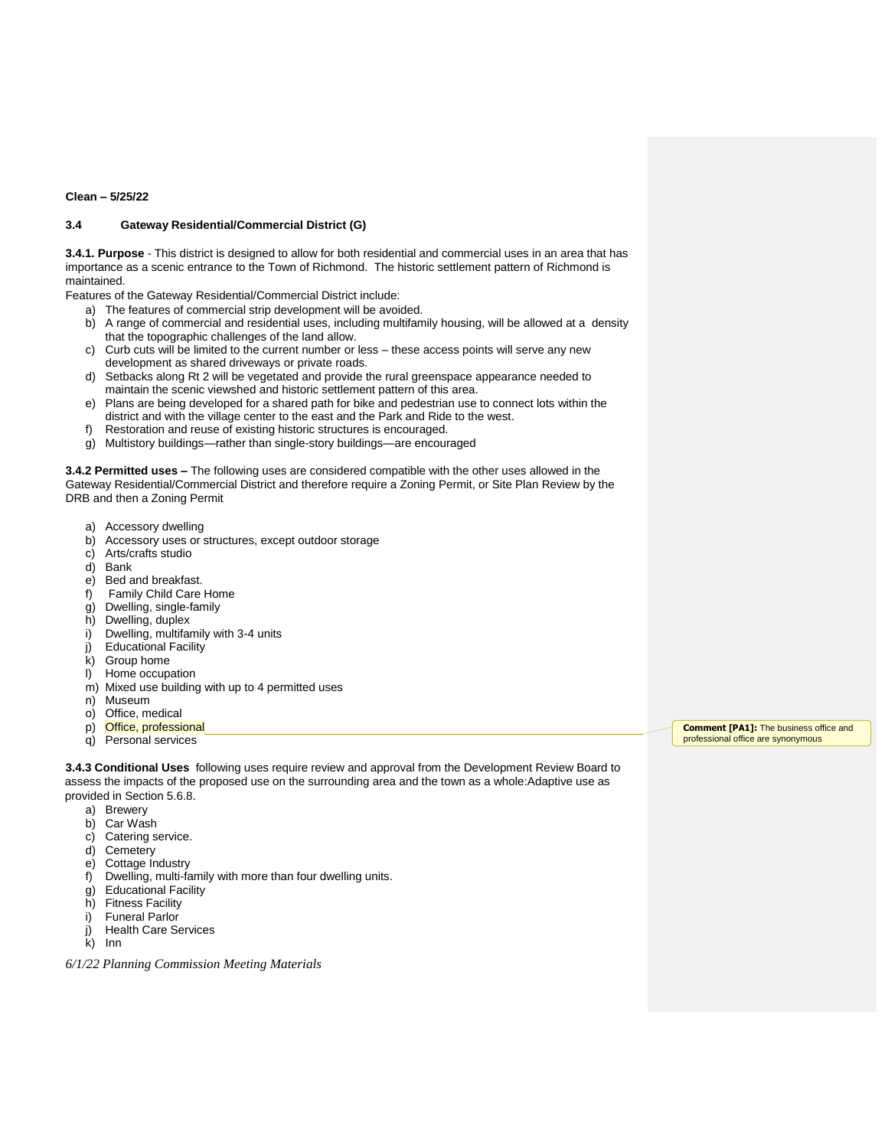## **Clean – 5/25/22**

## **3.4 Gateway Residential/Commercial District (G)**

**3.4.1. Purpose** - This district is designed to allow for both residential and commercial uses in an area that has importance as a scenic entrance to the Town of Richmond. The historic settlement pattern of Richmond is maintained.

Features of the Gateway Residential/Commercial District include:

- a) The features of commercial strip development will be avoided.
- b) A range of commercial and residential uses, including multifamily housing, will be allowed at a density that the topographic challenges of the land allow.
- c) Curb cuts will be limited to the current number or less these access points will serve any new development as shared driveways or private roads.
- d) Setbacks along Rt 2 will be vegetated and provide the rural greenspace appearance needed to maintain the scenic viewshed and historic settlement pattern of this area.
- e) Plans are being developed for a shared path for bike and pedestrian use to connect lots within the district and with the village center to the east and the Park and Ride to the west.
- f) Restoration and reuse of existing historic structures is encouraged.
- g) Multistory buildings—rather than single-story buildings—are encouraged

**3.4.2 Permitted uses –** The following uses are considered compatible with the other uses allowed in the Gateway Residential/Commercial District and therefore require a Zoning Permit, or Site Plan Review by the DRB and then a Zoning Permit

- a) Accessory dwelling
- b) Accessory uses or structures, except outdoor storage
- c) Arts/crafts studio
- d) Bank
- e) Bed and breakfast.
- f) Family Child Care Home
- g) Dwelling, single-family
- h) Dwelling, duplex
- i) Dwelling, multifamily with 3-4 units
- j) Educational Facility
- k) Group home
- l) Home occupation
- m) Mixed use building with up to 4 permitted uses
- n) Museum
- o) Office, medical
- p) Office, professional
- q) Personal services

**3.4.3 Conditional Uses** following uses require review and approval from the Development Review Board to assess the impacts of the proposed use on the surrounding area and the town as a whole:Adaptive use as provided in Section 5.6.8.

- a) Brewery
- b) Car Wash
- c) Catering service.
- d) Cemetery
- e) Cottage Industry
- f) Dwelling, multi-family with more than four dwelling units.
- g) Educational Facility
- h) Fitness Facility
- i) Funeral Parlor
- j) Health Care Services
- k) Inn

*6/1/22 Planning Commission Meeting Materials*

**Comment [PA1]:** The business office and professional office are synonymous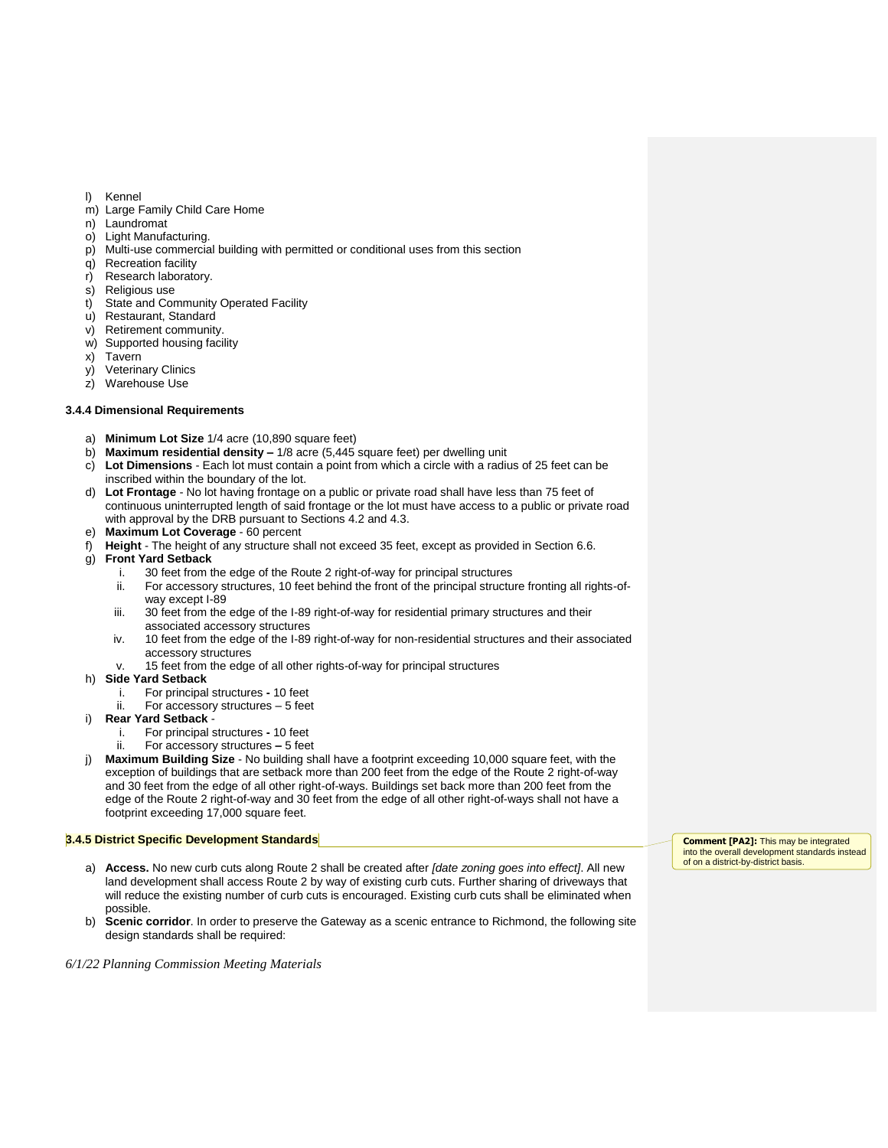- l) Kennel
- m) Large Family Child Care Home
- n) Laundromat
- o) Light Manufacturing.
- p) Multi-use commercial building with permitted or conditional uses from this section
- q) Recreation facility
- r) Research laboratory.
- s) Religious use
- t) State and Community Operated Facility
- u) Restaurant, Standard
- v) Retirement community.
- w) Supported housing facility
- x) Tavern
- y) Veterinary Clinics
- z) Warehouse Use

## **3.4.4 Dimensional Requirements**

- a) **Minimum Lot Size** 1/4 acre (10,890 square feet)
- b) **Maximum residential density –** 1/8 acre (5,445 square feet) per dwelling unit
- c) **Lot Dimensions** Each lot must contain a point from which a circle with a radius of 25 feet can be inscribed within the boundary of the lot.
- d) **Lot Frontage** No lot having frontage on a public or private road shall have less than 75 feet of continuous uninterrupted length of said frontage or the lot must have access to a public or private road with approval by the DRB pursuant to Sections 4.2 and 4.3.
- e) **Maximum Lot Coverage** 60 percent
- f) **Height** The height of any structure shall not exceed 35 feet, except as provided in Section 6.6.
- g) **Front Yard Setback**
	- i. 30 feet from the edge of the Route 2 right-of-way for principal structures
	- ii. For accessory structures, 10 feet behind the front of the principal structure fronting all rights-ofway except I-89
	- iii. 30 feet from the edge of the I-89 right-of-way for residential primary structures and their associated accessory structures
	- iv. 10 feet from the edge of the I-89 right-of-way for non-residential structures and their associated accessory structures
	- v. 15 feet from the edge of all other rights-of-way for principal structures
- h) **Side Yard Setback**
	- i. For principal structures **-** 10 feet
	- ii. For accessory structures 5 feet
- i) **Rear Yard Setback**
	- i. For principal structures **-** 10 feet
	- ii. For accessory structures **–** 5 feet
- j) **Maximum Building Size** No building shall have a footprint exceeding 10,000 square feet, with the exception of buildings that are setback more than 200 feet from the edge of the Route 2 right-of-way and 30 feet from the edge of all other right-of-ways. Buildings set back more than 200 feet from the edge of the Route 2 right-of-way and 30 feet from the edge of all other right-of-ways shall not have a footprint exceeding 17,000 square feet.

## **3.4.5 District Specific Development Standards**

- a) **Access.** No new curb cuts along Route 2 shall be created after *[date zoning goes into effect]*. All new land development shall access Route 2 by way of existing curb cuts. Further sharing of driveways that will reduce the existing number of curb cuts is encouraged. Existing curb cuts shall be eliminated when possible.
- b) **Scenic corridor**. In order to preserve the Gateway as a scenic entrance to Richmond, the following site design standards shall be required:

*6/1/22 Planning Commission Meeting Materials*

**Comment [PA2]:** This may be integrated into the overall development standards instead of on a district-by-district basis.